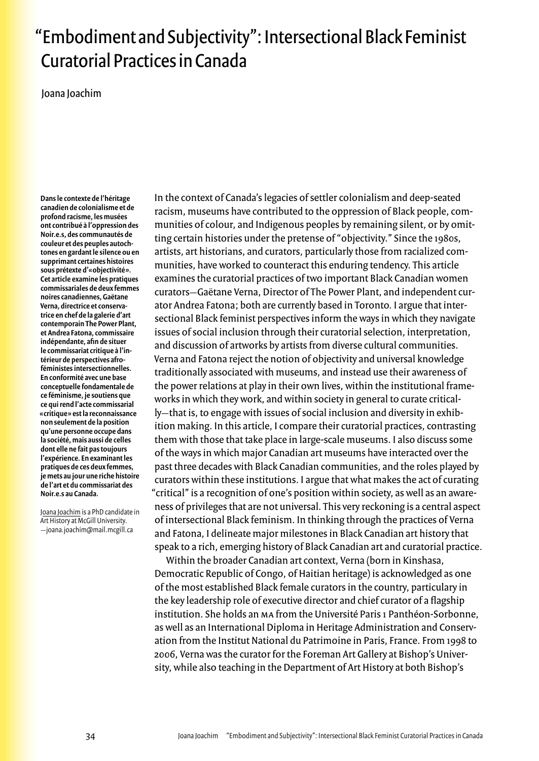## "Embodiment and Subjectivity": Intersectional Black Feminist Curatorial Practices in Canada

Joana Joachim

Dans le contexte de l'héritage canadien de colonialisme et de profond racisme, les musées ont contribué à l'oppression des Noir.e.s, des communautés de couleur et des peuples autochtones en gardant le silence ou en supprimant certaines histoires sous prétexte d'«objectivité». Cet article examine les pratiques commissariales de deux femmes noires canadiennes. Gaëtane Verna, directrice et conservatrice en chef de la galerie d'art contemporain The Power Plant, et Andrea Fatona, commissaire indépendante, afin de situer le commissariat critique à l'intérieur de perspectives afroféministes intersectionnelles En conformité avec une base conceptuelle fondamentale de ce féminisme, je soutiens que ce qui rend l'acte commissarial «critique» est la reconnaissance non seulement de la position qu'une personne occupe dans la société, mais aussi de celles dont elle ne fait pas toujours l'expérience. En examinant les pratiques de ces deux femmes, je mets au jour une riche histoire de l'art et du commissariat des Noir.e.s au Canada.

Joana Joachim is a PhD candidate in Art History at McGill University. -joana.joachim@mail.mcgill.ca

In the context of Canada's legacies of settler colonialism and deep-seated racism, museums have contributed to the oppression of Black people, communities of colour, and Indigenous peoples by remaining silent, or by omitting certain histories under the pretense of "objectivity." Since the 1980s, artists, art historians, and curators, particularly those from racialized communities, have worked to counteract this enduring tendency. This article examines the curatorial practices of two important Black Canadian women curators-Gaëtane Verna, Director of The Power Plant, and independent curator Andrea Fatona; both are currently based in Toronto. I argue that intersectional Black feminist perspectives inform the ways in which they navigate issues of social inclusion through their curatorial selection, interpretation, and discussion of artworks by artists from diverse cultural communities. Verna and Fatona reject the notion of objectivity and universal knowledge traditionally associated with museums, and instead use their awareness of the power relations at play in their own lives, within the institutional frameworks in which they work, and within society in general to curate critically-that is, to engage with issues of social inclusion and diversity in exhibition making. In this article, I compare their curatorial practices, contrasting them with those that take place in large-scale museums. I also discuss some of the ways in which major Canadian art museums have interacted over the past three decades with Black Canadian communities, and the roles played by curators within these institutions. I argue that what makes the act of curating "critical" is a recognition of one's position within society, as well as an awareness of privileges that are not universal. This very reckoning is a central aspect of intersectional Black feminism. In thinking through the practices of Verna and Fatona, I delineate major milestones in Black Canadian art history that speak to a rich, emerging history of Black Canadian art and curatorial practice.

Within the broader Canadian art context, Verna (born in Kinshasa, Democratic Republic of Congo, of Haitian heritage) is acknowledged as one of the most established Black female curators in the country, particulary in the key leadership role of executive director and chief curator of a flagship institution. She holds an MA from the Université Paris 1 Panthéon-Sorbonne, as well as an International Diploma in Heritage Administration and Conservation from the Institut National du Patrimoine in Paris, France. From 1998 to 2006, Verna was the curator for the Foreman Art Gallery at Bishop's University, while also teaching in the Department of Art History at both Bishop's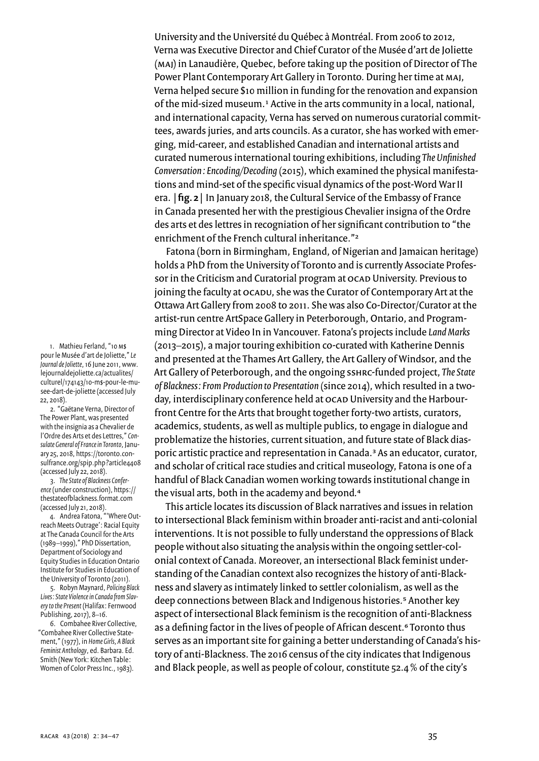University and the Université du Québec à Montréal. From 2006 to 2012, Verna was Executive Director and Chief Curator of the Musée d'art de Joliette (MAI) in Lanaudière, Quebec, before taking up the position of Director of The Power Plant Contemporary Art Gallery in Toronto. During her time at MAJ. Verna helped secure \$10 million in funding for the renovation and expansion of the mid-sized museum.<sup>1</sup> Active in the arts community in a local, national, and international capacity, Verna has served on numerous curatorial committees, awards juries, and arts councils. As a curator, she has worked with emerging, mid-career, and established Canadian and international artists and curated numerous international touring exhibitions, including The Unfinished Conversation: Encoding/Decoding (2015), which examined the physical manifestations and mind-set of the specific visual dynamics of the post-Word War II era. | fig. 2 | In January 2018, the Cultural Service of the Embassy of France in Canada presented her with the prestigious Chevalier insigna of the Ordre des arts et des lettres in recogniation of her significant contribution to "the enrichment of the French cultural inheritance."<sup>2</sup>

Fatona (born in Birmingham, England, of Nigerian and Jamaican heritage) holds a PhD from the University of Toronto and is currently Associate Professor in the Criticism and Curatorial program at OCAD University. Previous to joining the faculty at ocapu, she was the Curator of Contemporary Art at the Ottawa Art Gallery from 2008 to 2011. She was also Co-Director/Curator at the artist-run centre ArtSpace Gallery in Peterborough, Ontario, and Programming Director at Video In in Vancouver. Fatona's projects include Land Marks (2013–2015), a major touring exhibition co-curated with Katherine Dennis and presented at the Thames Art Gallery, the Art Gallery of Windsor, and the Art Gallery of Peterborough, and the ongoing ssunc-funded project, The State of Blackness: From Production to Presentation (since 2014), which resulted in a twoday, interdisciplinary conference held at OCAD University and the Harbourfront Centre for the Arts that brought together forty-two artists, curators, academics, students, as well as multiple publics, to engage in dialogue and problematize the histories, current situation, and future state of Black diasporic artistic practice and representation in Canada.<sup>3</sup> As an educator, curator, and scholar of critical race studies and critical museology, Fatona is one of a handful of Black Canadian women working towards institutional change in the visual arts, both in the academy and beyond.<sup>4</sup>

This article locates its discussion of Black narratives and issues in relation to intersectional Black feminism within broader anti-racist and anti-colonial interventions. It is not possible to fully understand the oppressions of Black people without also situating the analysis within the ongoing settler-colonial context of Canada. Moreover, an intersectional Black feminist understanding of the Canadian context also recognizes the history of anti-Blackness and slavery as intimately linked to settler colonialism, as well as the deep connections between Black and Indigenous histories.<sup>5</sup> Another key aspect of intersectional Black feminism is the recognition of anti-Blackness as a defining factor in the lives of people of African descent.<sup>6</sup> Toronto thus serves as an important site for gaining a better understanding of Canada's history of anti-Blackness. The 2016 census of the city indicates that Indigenous and Black people, as well as people of colour, constitute 52.4% of the city's

1. Mathieu Ferland, "10 M\$ pour le Musée d'art de Joliette," Le Journal de Joliette, 16 June 2011, www. lejournaldejoliette.ca/actualites/ culturel/174143/10-m\$-pour-le-musee-dart-de-joliette (accessed July 22.2018)

2. "Gaëtane Verna, Director of The Power Plant, was presented with the insignia as a Chevalier de l'Ordre des Arts et des Lettres," Consulate General of France in Toronto, January 25, 2018, https://toronto.consulfrance.org/spip.php?article4408 (accessed July 22, 2018).

3. The State of Blackness Conference (under construction), https:// thestateofblackness.format.com (accessed July 21, 2018).<br>4. Andrea Fatona, "Where Out-

reach Meets Outrage': Racial Equity at The Canada Council for the Arts (1989-1999)," PhD Dissertation, Department of Sociology and Equity Studies in Education Ontario Institute for Studies in Education of the University of Toronto (2011).

5. Robyn Maynard, Policing Black Lives: State Violence in Canada from Slavery to the Present (Halifax: Fernwood Publishing, 2017), 8-16.

6. Combahee River Collective, "Combahee River Collective Statement," (1977), in Home Girls, A Black Feminist Anthology, ed. Barbara. Ed. Smith (New York: Kitchen Table: Women of Color Press Inc., 1983).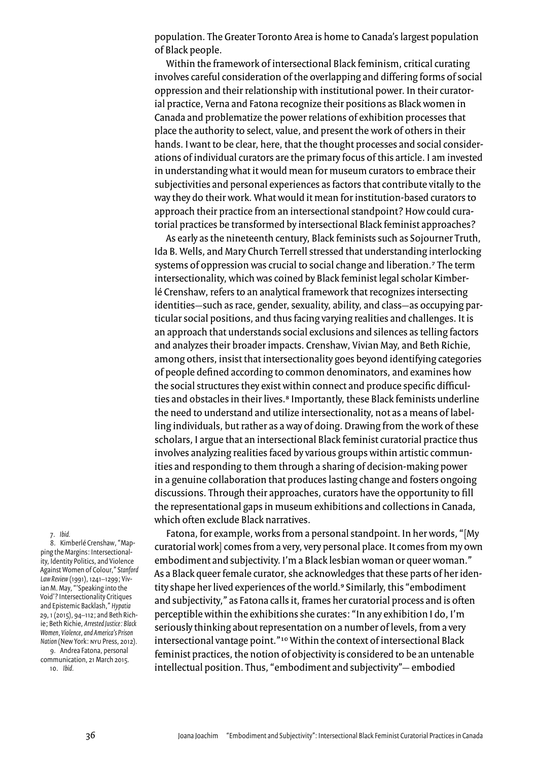population. The Greater Toronto Area is home to Canada's largest population of Black people.

Within the framework of intersectional Black feminism, critical curating involves careful consideration of the overlapping and differing forms of social oppression and their relationship with institutional power. In their curatorial practice, Verna and Fatona recognize their positions as Black women in Canada and problematize the power relations of exhibition processes that place the authority to select, value, and present the work of others in their hands. I want to be clear, here, that the thought processes and social considerations of individual curators are the primary focus of this article. I am invested in understanding what it would mean for museum curators to embrace their subjectivities and personal experiences as factors that contribute vitally to the way they do their work. What would it mean for institution-based curators to approach their practice from an intersectional standpoint? How could curatorial practices be transformed by intersectional Black feminist approaches?

As early as the nineteenth century, Black feminists such as Sojourner Truth, Ida B. Wells, and Mary Church Terrell stressed that understanding interlocking systems of oppression was crucial to social change and liberation.<sup>7</sup> The term intersectionality, which was coined by Black feminist legal scholar Kimberlé Crenshaw, refers to an analytical framework that recognizes intersecting identities-such as race, gender, sexuality, ability, and class-as occupying particular social positions, and thus facing varying realities and challenges. It is an approach that understands social exclusions and silences as telling factors and analyzes their broader impacts. Crenshaw, Vivian May, and Beth Richie, among others, insist that intersectionality goes beyond identifying categories of people defined according to common denominators, and examines how the social structures they exist within connect and produce specific difficulties and obstacles in their lives.<sup>8</sup> Importantly, these Black feminists underline the need to understand and utilize intersectionality, not as a means of labelling individuals, but rather as a way of doing. Drawing from the work of these scholars, I argue that an intersectional Black feminist curatorial practice thus involves analyzing realities faced by various groups within artistic communities and responding to them through a sharing of decision-making power in a genuine collaboration that produces lasting change and fosters ongoing discussions. Through their approaches, curators have the opportunity to fill the representational gaps in museum exhibitions and collections in Canada, which often exclude Black narratives.

Fatona, for example, works from a personal standpoint. In her words, "[My curatorial work] comes from a very, very personal place. It comes from my own embodiment and subjectivity. I'm a Black lesbian woman or queer woman." As a Black queer female curator, she acknowledges that these parts of her identity shape her lived experiences of the world.<sup>9</sup> Similarly, this "embodiment and subjectivity," as Fatona calls it, frames her curatorial process and is often perceptible within the exhibitions she curates: "In any exhibition I do, I'm seriously thinking about representation on a number of levels, from a very intersectional vantage point."<sup>10</sup> Within the context of intersectional Black feminist practices, the notion of objectivity is considered to be an untenable intellectual position. Thus, "embodiment and subjectivity"- embodied

7. Ibid.

8. Kimberlé Crenshaw, "Mapping the Margins: Intersectionality, Identity Politics, and Violence Against Women of Colour," Stanford Law Review (1991), 1241-1299; Vivian M. May, "'Speaking into the Void'? Intersectionality Critiques and Epistemic Backlash," Hypatia 29, 1 (2015), 94-112; and Beth Richie; Beth Richie, Arrested Justice: Black Women, Violence, and America's Prison Nation (New York: NYU Press, 2012). 9. Andrea Fatona, personal communication, 21 March 2015.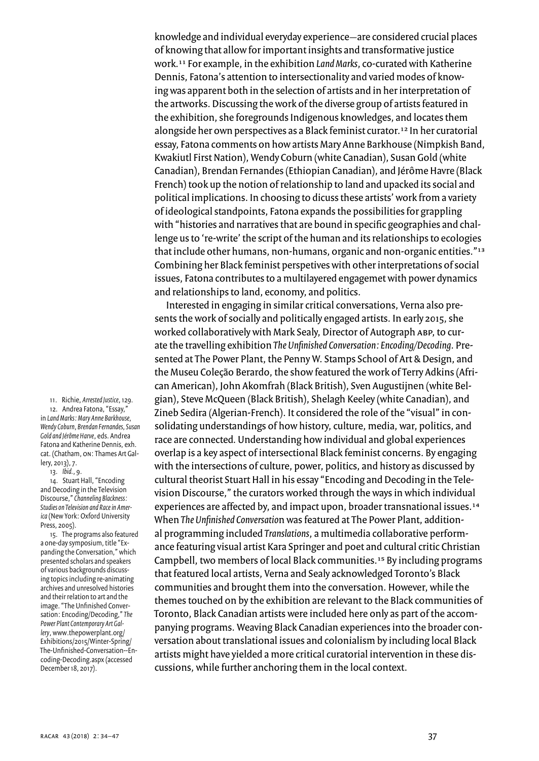knowledge and individual everyday experience-are considered crucial places of knowing that allow for important insights and transformative justice work.<sup>11</sup> For example, in the exhibition Land Marks, co-curated with Katherine Dennis, Fatona's attention to intersectionality and varied modes of knowing was apparent both in the selection of artists and in her interpretation of the artworks. Discussing the work of the diverse group of artists featured in the exhibition, she foregrounds Indigenous knowledges, and locates them alongside her own perspectives as a Black feminist curator.<sup>12</sup> In her curatorial essay, Fatona comments on how artists Mary Anne Barkhouse (Nimpkish Band, Kwakiutl First Nation), Wendy Coburn (white Canadian), Susan Gold (white Canadian), Brendan Fernandes (Ethiopian Canadian), and Jérôme Havre (Black French) took up the notion of relationship to land and upacked its social and political implications. In choosing to dicuss these artists' work from a variety of ideological standpoints, Fatona expands the possibilities for grappling with "histories and narratives that are bound in specific geographies and challenge us to 're-write' the script of the human and its relationships to ecologies that include other humans, non-humans, organic and non-organic entities."13 Combining her Black feminist perspetives with other interpretations of social issues, Fatona contributes to a multilayered engagemet with power dynamics and relationships to land, economy, and politics.

Interested in engaging in similar critical conversations, Verna also presents the work of socially and politically engaged artists. In early 2015, she worked collaboratively with Mark Sealy, Director of Autograph ABP, to curate the travelling exhibition The Unfinished Conversation: Encoding/Decoding. Presented at The Power Plant, the Penny W. Stamps School of Art & Design, and the Museu Coleção Berardo, the show featured the work of Terry Adkins (African American), John Akomfrah (Black British), Sven Augustijnen (white Belgian), Steve McQueen (Black British), Shelagh Keeley (white Canadian), and Zineb Sedira (Algerian-French). It considered the role of the "visual" in consolidating understandings of how history, culture, media, war, politics, and race are connected. Understanding how individual and global experiences overlap is a key aspect of intersectional Black feminist concerns. By engaging with the intersections of culture, power, politics, and history as discussed by cultural theorist Stuart Hall in his essay "Encoding and Decoding in the Television Discourse," the curators worked through the ways in which individual experiences are affected by, and impact upon, broader transnational issues.<sup>14</sup> When The Unfinished Conversation was featured at The Power Plant, additional programming included Translations, a multimedia collaborative performance featuring visual artist Kara Springer and poet and cultural critic Christian Campbell, two members of local Black communities.<sup>15</sup> By including programs that featured local artists, Verna and Sealy acknowledged Toronto's Black communities and brought them into the conversation. However, while the themes touched on by the exhibition are relevant to the Black communities of Toronto, Black Canadian artists were included here only as part of the accompanying programs. Weaving Black Canadian experiences into the broader conversation about translational issues and colonialism by including local Black artists might have yielded a more critical curatorial intervention in these discussions, while further anchoring them in the local context.

11. Richie, Arrested Justice, 129. 12. Andrea Fatona. "Essay." in Land Marks: Mary Anne Barkhouse, Wendy Coburn, Brendan Fernandes, Susan Gold and Jérôme Harve, eds. Andrea Fatona and Katherine Dennis, exh. cat. (Chatham, ON: Thames Art Gallery, 2013), 7.

13. Ibid., 9.

14. Stuart Hall, "Encoding and Decoding in the Television Discourse," Channeling Blackness: Studies on Television and Race in America (New York: Oxford University Press, 2005).

15. The programs also featured a one-day symposium, title "Expanding the Conversation," which presented scholars and speakers of various backgrounds discussing topics including re-animating archives and unresolved histories and their relation to art and the image. "The Unfinished Conversation: Encoding/Decoding," The Power Plant Contemporary Art Gallery, www.thepowerplant.org/ Exhibitions/2015/Winter-Spring/ The-Unfinished-Conversation--Encoding-Decoding.aspx (accessed December 18, 2017).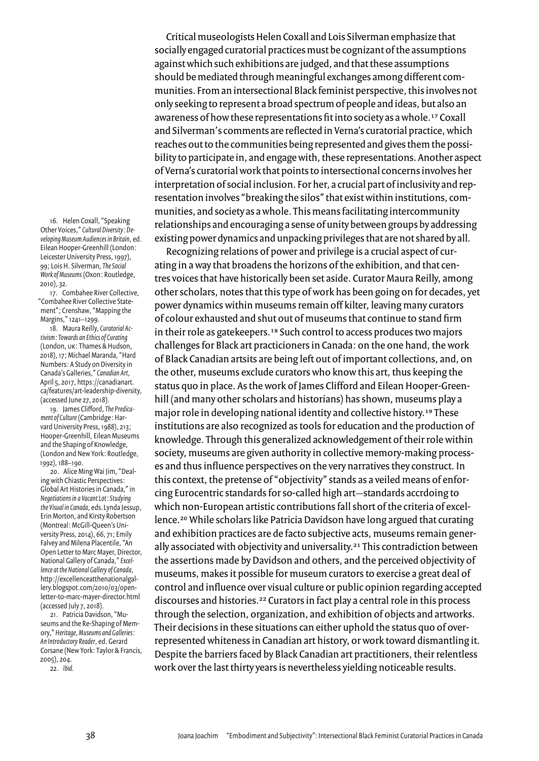16. Helen Coxall, "Speaking Other Voices," Cultural Diversity: Developing Museum Audiences in Britain, ed. Eilean Hooper-Greenhill (London: Leicester University Press, 1997), 99; Lois H. Silverman, The Social Work of Museums (Oxon: Routledge, 2010), 32.

17. Combahee River Collective. "Combahee River Collective Statement"; Crenshaw, "Mapping the Margins," 1241-1299.

18. Maura Reilly, Curatorial Activism: Towards an Ethics of Curating (London, UK: Thames & Hudson, 2018), 17; Michael Maranda, "Hard Numbers: A Study on Diversity in Canada's Galleries," Canadian Art, April 5, 2017, https://canadianart. ca/features/art-leadership-diversity, (accessed June 27, 2018).

19. James Clifford, The Predicament of Culture (Cambridge: Harvard University Press, 1988), 213; Hooper-Greenhill, Eilean Museums and the Shaping of Knowledge, (London and New York: Routledge, 1992), 188-190.

20. Alice Ming Wai Jim, "Dealing with Chiastic Perspectives: Global Art Histories in Canada," in Negotiations in a Vacant Lot: Studying the Visual in Canada, eds. Lynda Jessup, Erin Morton, and Kirsty Robertson (Montreal: McGill-Queen's University Press, 2014), 66, 71; Emily Falvey and Milena Placentile, "An Open Letter to Marc Mayer, Director, National Gallery of Canada," Excellence at the National Gallery of Canada, http://excellenceatthenationalgallery.blogspot.com/2010/03/openletter-to-marc-mayer-director.html (accessed July 7, 2018).

21. Patricia Davidson, "Museums and the Re-Shaping of Memory," Heritage, Museums and Galleries: An Introductory Reader, ed. Gerard Corsane (New York: Taylor & Francis, 2005), 204.

22. Ibid.

Critical museologists Helen Coxall and Lois Silverman emphasize that socially engaged curatorial practices must be cognizant of the assumptions against which such exhibitions are judged, and that these assumptions should be mediated through meaningful exchanges among different communities. From an intersectional Black feminist perspective, this involves not only seeking to represent a broad spectrum of people and ideas, but also an awareness of how these representations fit into society as a whole.<sup>17</sup> Coxall and Silverman's comments are reflected in Verna's curatorial practice, which reaches out to the communities being represented and gives them the possibility to participate in, and engage with, these representations. Another aspect of Verna's curatorial work that points to intersectional concerns involves her interpretation of social inclusion. For her, a crucial part of inclusivity and representation involves "breaking the silos" that exist within institutions, communities, and society as a whole. This means facilitating intercommunity relationships and encouraging a sense of unity between groups by addressing existing power dynamics and unpacking privileges that are not shared by all.

Recognizing relations of power and privilege is a crucial aspect of curating in a way that broadens the horizons of the exhibition, and that centres voices that have historically been set aside. Curator Maura Reilly, among other scholars, notes that this type of work has been going on for decades, yet power dynamics within museums remain off kilter, leaving many curators of colour exhausted and shut out of museums that continue to stand firm in their role as gatekeepers.<sup>18</sup> Such control to access produces two majors challenges for Black art practicioners in Canada: on the one hand, the work of Black Canadian artsits are being left out of important collections, and, on the other, museums exclude curators who know this art, thus keeping the status quo in place. As the work of James Clifford and Eilean Hooper-Greenhill (and many other scholars and historians) has shown, museums play a major role in developing national identity and collective history.<sup>19</sup> These institutions are also recognized as tools for education and the production of knowledge. Through this generalized acknowledgement of their role within society, museums are given authority in collective memory-making processes and thus influence perspectives on the very narratives they construct. In this context, the pretense of "objectivity" stands as a veiled means of enforcing Eurocentric standards for so-called high art-standards accrdoing to which non-European artistic contributions fall short of the criteria of excellence.<sup>20</sup> While scholars like Patricia Davidson have long argued that curating and exhibition practices are de facto subjective acts, museums remain generally associated with objectivity and universality.<sup>21</sup> This contradiction between the assertions made by Davidson and others, and the perceived objectivity of museums, makes it possible for museum curators to exercise a great deal of control and influence over visual culture or public opinion regarding accepted discourses and histories.<sup>22</sup> Curators in fact play a central role in this process through the selection, organization, and exhibition of objects and artworks. Their decisions in these situations can either uphold the status quo of overrepresented whiteness in Canadian art history, or work toward dismantling it. Despite the barriers faced by Black Canadian art practitioners, their relentless work over the last thirty years is nevertheless yielding noticeable results.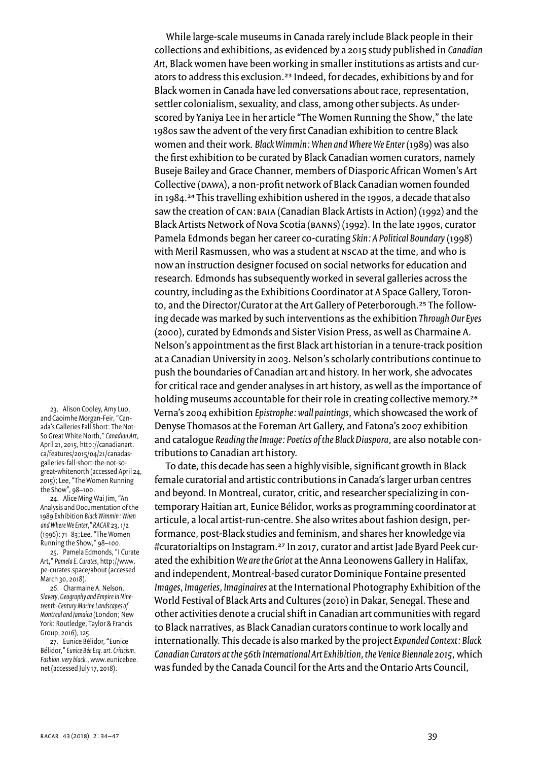While large-scale museums in Canada rarely include Black people in their collections and exhibitions, as evidenced by a 2015 study published in Canadian Art, Black women have been working in smaller institutions as artists and curators to address this exclusion.<sup>23</sup> Indeed, for decades, exhibitions by and for Black women in Canada have led conversations about race, representation, settler colonialism, sexuality, and class, among other subjects. As underscored by Yaniya Lee in her article "The Women Running the Show," the late 1980s saw the advent of the very first Canadian exhibition to centre Black women and their work. Black Wimmin: When and Where We Enter (1989) was also the first exhibition to be curated by Black Canadian women curators, namely Buseje Bailey and Grace Channer, members of Diasporic African Women's Art Collective (DAWA), a non-profit network of Black Canadian women founded in 1984.<sup>24</sup> This travelling exhibition ushered in the 1990s, a decade that also saw the creation of CAN: BAIA (Canadian Black Artists in Action) (1992) and the Black Artists Network of Nova Scotia (BANNS) (1992). In the late 1990s, curator Pamela Edmonds began her career co-curating Skin: A Political Boundary (1998) with Meril Rasmussen, who was a student at NSCAD at the time, and who is now an instruction designer focused on social networks for education and research. Edmonds has subsequently worked in several galleries across the country, including as the Exhibitions Coordinator at A Space Gallery, Toronto, and the Director/Curator at the Art Gallery of Peterborough.<sup>25</sup> The following decade was marked by such interventions as the exhibition Through Our Eyes (2000), curated by Edmonds and Sister Vision Press, as well as Charmaine A. Nelson's appointment as the first Black art historian in a tenure-track position at a Canadian University in 2003. Nelson's scholarly contributions continue to push the boundaries of Canadian art and history. In her work, she advocates for critical race and gender analyses in art history, as well as the importance of holding museums accountable for their role in creating collective memory.<sup>26</sup> Verna's 2004 exhibition Epistrophe: wall paintings, which showcased the work of Denyse Thomasos at the Foreman Art Gallery, and Fatona's 2007 exhibition and catalogue Reading the Image: Poetics of the Black Diaspora, are also notable contributions to Canadian art history.

To date, this decade has seen a highly visible, significant growth in Black female curatorial and artistic contributions in Canada's larger urban centres and beyond. In Montreal, curator, critic, and researcher specializing in contemporary Haitian art, Eunice Bélidor, works as programming coordinator at articule, a local artist-run-centre. She also writes about fashion design, performance, post-Black studies and feminism, and shares her knowledge via #curatorialtips on Instagram.<sup>27</sup> In 2017, curator and artist Jade Byard Peek curated the exhibition We are the Griot at the Anna Leonowens Gallery in Halifax, and independent, Montreal-based curator Dominique Fontaine presented Images, Imageries, Imaginaires at the International Photography Exhibition of the World Festival of Black Arts and Cultures (2010) in Dakar, Senegal. These and other activities denote a crucial shift in Canadian art communities with regard to Black narratives, as Black Canadian curators continue to work locally and internationally. This decade is also marked by the project Expanded Context: Black Canadian Curators at the 56th International Art Exhibition, the Venice Biennale 2015, which was funded by the Canada Council for the Arts and the Ontario Arts Council,

23. Alison Cooley, Amy Luo, and Caoimhe Morgan-Feir, "Canada's Galleries Fall Short: The Not-So Great White North," Canadian Art, April 21, 2015, http://canadianart. ca/features/2015/04/21/canadasgalleries-fall-short-the-not-sogreat-whitenorth (accessed April 24, 2015); Lee, "The Women Running the Show", 98-100.

24. Alice Ming Wai Jim, "An Analysis and Documentation of the 1989 Exhibition Black Wimmin: When and Where We Enter," RACAR 23, 1/2 (1996): 71-83; Lee, "The Women Running the Show," 98-100.

25. Pamela Edmonds, "I Curate Art," Pamela E. Curates, http://www. pe-curates.space/about (accessed March 30, 2018).

26. Charmaine A. Nelson, Slavery, Geography and Empire in Nineteenth-Century Marine Landscapes of Montreal and Jamaica (London; New York: Routledge, Taylor & Francis Group, 2016), 125.

27. Eunice Bélidor, "Eunice Bélidor," Eunice Bée Esq. art. Criticism. Fashion. very black., www.eunicebee. net (accessed July 17, 2018).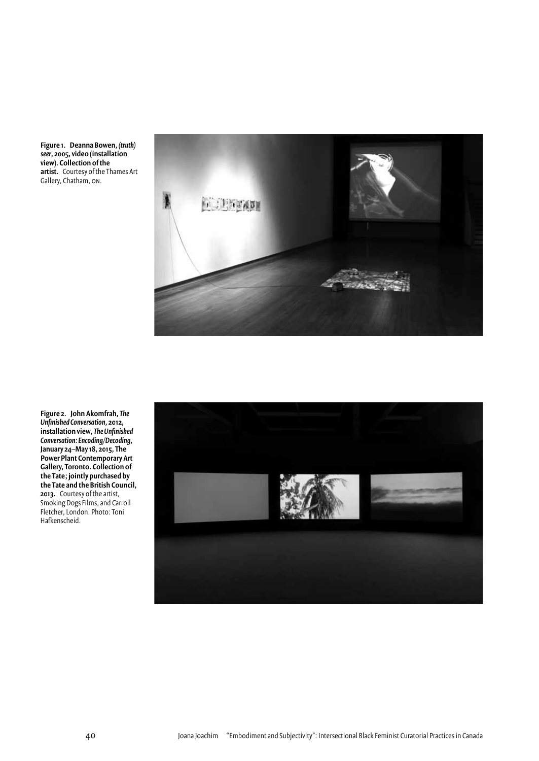Figure 1. Deanna Bowen, (truth) seer, 2005, video (installation view). Collection of the<br>artist. Courtesy of the Thames Art Gallery, Chatham, ON.



Figure 2. John Akomfrah, The Unfinished Conversation, 2012, installation view, The Unfinished Conversation: Encoding/Decoding, January 24-May 18, 2015, The<br>Power Plant Contemporary Art Callery, Toronto. Collection of<br>the Tate; jointly purchased by the Tate and the British Council, 2013. Courtesy of the artist,<br>Smoking Dogs Films, and Carroll<br>Fletcher, London. Photo: Toni Hafkenscheid.

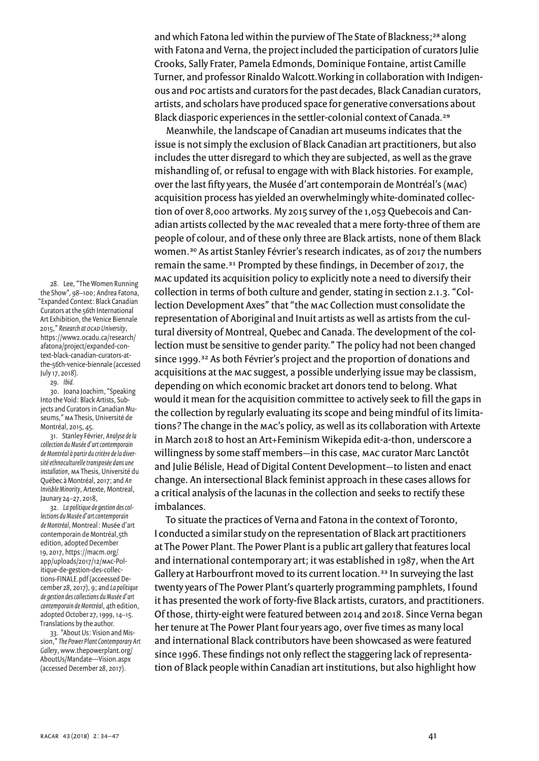and which Fatona led within the purview of The State of Blackness;<sup>28</sup> along with Fatona and Verna, the project included the participation of curators Julie Crooks, Sally Frater, Pamela Edmonds, Dominique Fontaine, artist Camille Turner, and professor Rinaldo Walcott. Working in collaboration with Indigenous and poc artists and curators for the past decades, Black Canadian curators, artists, and scholars have produced space for generative conversations about Black diasporic experiences in the settler-colonial context of Canada.<sup>29</sup>

Meanwhile, the landscape of Canadian art museums indicates that the issue is not simply the exclusion of Black Canadian art practitioners, but also includes the utter disregard to which they are subjected, as well as the grave mishandling of, or refusal to engage with with Black histories. For example, over the last fifty years, the Musée d'art contemporain de Montréal's (MAC) acquisition process has yielded an overwhelmingly white-dominated collection of over 8,000 artworks. My 2015 survey of the 1,053 Quebecois and Canadian artists collected by the MAC revealed that a mere forty-three of them are people of colour, and of these only three are Black artists, none of them Black women.<sup>30</sup> As artist Stanley Février's research indicates, as of 2017 the numbers remain the same.<sup>31</sup> Prompted by these findings, in December of 2017, the MAC updated its acquisition policy to explicitly note a need to diversify their collection in terms of both culture and gender, stating in section 2.1.3. "Collection Development Axes" that "the MAC Collection must consolidate the representation of Aboriginal and Inuit artists as well as artists from the cultural diversity of Montreal, Quebec and Canada. The development of the collection must be sensitive to gender parity." The policy had not been changed since 1999.<sup>32</sup> As both Février's project and the proportion of donations and acquisitions at the MAC suggest, a possible underlying issue may be classism, depending on which economic bracket art donors tend to belong. What would it mean for the acquisition committee to actively seek to fill the gaps in the collection by regularly evaluating its scope and being mindful of its limitations? The change in the MAC's policy, as well as its collaboration with Artexte in March 2018 to host an Art+Feminism Wikepida edit-a-thon, underscore a willingness by some staff members-in this case, MAC curator Marc Lanctôt and Julie Bélisle, Head of Digital Content Development-to listen and enact change. An intersectional Black feminist approach in these cases allows for a critical analysis of the lacunas in the collection and seeks to rectify these imbalances.

To situate the practices of Verna and Fatona in the context of Toronto, I conducted a similar study on the representation of Black art practitioners at The Power Plant. The Power Plant is a public art gallery that features local and international contemporary art; it was established in 1987, when the Art Gallery at Harbourfront moved to its current location.<sup>33</sup> In surveying the last twenty years of The Power Plant's quarterly programming pamphlets, I found it has presented the work of forty-five Black artists, curators, and practitioners. Of those, thirty-eight were featured between 2014 and 2018. Since Verna began her tenure at The Power Plant four years ago, over five times as many local and international Black contributors have been showcased as were featured since 1996. These findings not only reflect the staggering lack of representation of Black people within Canadian art institutions, but also highlight how

28. Lee, "The Women Running the Show", 98-100; Andrea Fatona, "Expanded Context: Black Canadian Curators at the 56th International Art Exhibition, the Venice Biennale 2015," Research at OCAD University, https://www2.ocadu.ca/research/ afatona/project/expanded-context-black-canadian-curators-atthe-56th-venice-biennale (accessed July 17, 2018).

29. Ibid.

30. Joana Joachim, "Speaking Into the Void: Black Artists, Subiects and Curators in Canadian Museums," MA Thesis, Université de Montréal, 2015, 45.

31. Stanley Février, Analyse de la collection du Musée d'art contemporain de Montréal à partir du critère de la diversité ethnoculturelle transposée dans une installation, MA Thesis, Université du Québec à Montréal, 2017; and An Invisble Minority, Artexte, Montreal, Jaunary 24-27, 2018,

32. La politique de gestion des collections du Musée d'art contemporain de Montréal, Montreal : Musée d'art contemporain de Montréal, 5th edition, adopted December 19, 2017, https://macm.org/ app/uploads/2017/12/MAC-Politique-de-gestion-des-collections-FINALE.pdf (acceessed December 28, 2017), 9; and La politique de aestion des collections du Musée d'art contemporain de Montréal, 4th edition, adopted October 27, 1999, 14-15. Translations by the author.

33. "About Us: Vision and Mission," The Power Plant Contemporary Art Gallery, www.thepowerplant.org/ AboutUs/Mandate---Vision.aspx (accessed December 28, 2017).

 $41$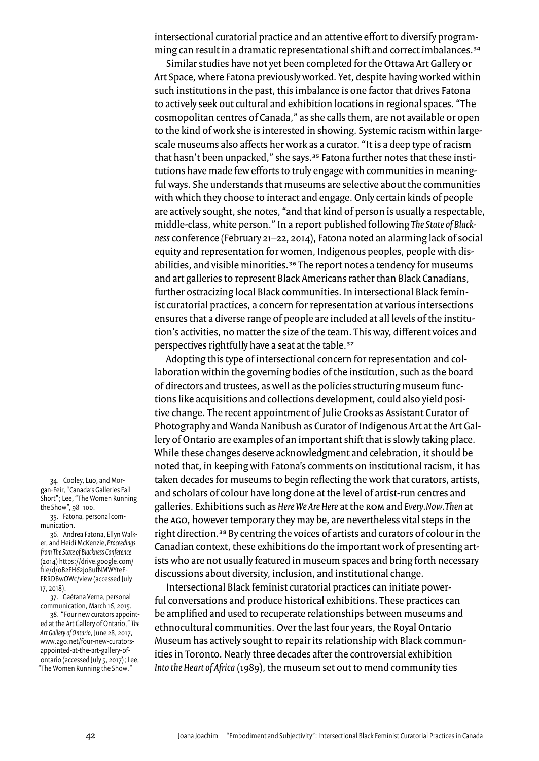intersectional curatorial practice and an attentive effort to diversify programming can result in a dramatic representational shift and correct imbalances.<sup>34</sup>

Similar studies have not yet been completed for the Ottawa Art Gallery or Art Space, where Fatona previously worked. Yet, despite having worked within such institutions in the past, this imbalance is one factor that drives Fatona to actively seek out cultural and exhibition locations in regional spaces. "The cosmopolitan centres of Canada," as she calls them, are not available or open to the kind of work she is interested in showing. Systemic racism within largescale museums also affects her work as a curator. "It is a deep type of racism that hasn't been unpacked," she says.<sup>35</sup> Fatona further notes that these institutions have made few efforts to truly engage with communities in meaningful ways. She understands that museums are selective about the communities with which they choose to interact and engage. Only certain kinds of people are actively sought, she notes, "and that kind of person is usually a respectable, middle-class, white person." In a report published following The State of Blackness conference (February 21-22, 2014), Fatona noted an alarming lack of social equity and representation for women, Indigenous peoples, people with disabilities, and visible minorities.<sup>36</sup> The report notes a tendency for museums and art galleries to represent Black Americans rather than Black Canadians, further ostracizing local Black communities. In intersectional Black feminist curatorial practices, a concern for representation at various intersections ensures that a diverse range of people are included at all levels of the institution's activities, no matter the size of the team. This way, different voices and perspectives rightfully have a seat at the table.<sup>37</sup>

Adopting this type of intersectional concern for representation and collaboration within the governing bodies of the institution, such as the board of directors and trustees, as well as the policies structuring museum functions like acquisitions and collections development, could also yield positive change. The recent appointment of Julie Crooks as Assistant Curator of Photography and Wanda Nanibush as Curator of Indigenous Art at the Art Gallery of Ontario are examples of an important shift that is slowly taking place. While these changes deserve acknowledgment and celebration, it should be noted that, in keeping with Fatona's comments on institutional racism, it has taken decades for museums to begin reflecting the work that curators, artists, and scholars of colour have long done at the level of artist-run centres and galleries. Exhibitions such as Here We Are Here at the ROM and Every. Now. Then at the AGO, however temporary they may be, are nevertheless vital steps in the right direction.<sup>38</sup> By centring the voices of artists and curators of colour in the Canadian context, these exhibitions do the important work of presenting artists who are not usually featured in museum spaces and bring forth necessary discussions about diversity, inclusion, and institutional change.

Intersectional Black feminist curatorial practices can initiate powerful conversations and produce historical exhibitions. These practices can be amplified and used to recuperate relationships between museums and ethnocultural communities. Over the last four years, the Royal Ontario Museum has actively sought to repair its relationship with Black communities in Toronto. Nearly three decades after the controversial exhibition Into the Heart of Africa (1989), the museum set out to mend community ties

34. Cooley, Luo, and Morgan-Feir, "Canada's Galleries Fall Short"; Lee, "The Women Running the Show", 98-100.

35. Fatona, personal communication.

36. Andrea Fatona, Ellyn Walker, and Heidi McKenzie, Proceedings from The State of Blackness Conference (2014) https://drive.google.com/ file/d/oB2FH62jo8ufNMWYteE-FRRDBwOWc/view (accessed July 17, 2018).

37. Gaëtana Verna, personal communication, March 16, 2015.

38. "Four new curators appointed at the Art Gallery of Ontario," The Art Gallery of Ontario, June 28, 2017, www.ago.net/four-new-curatorsappointed-at-the-art-gallery-ofontario (accessed July 5, 2017); Lee, "The Women Running the Show."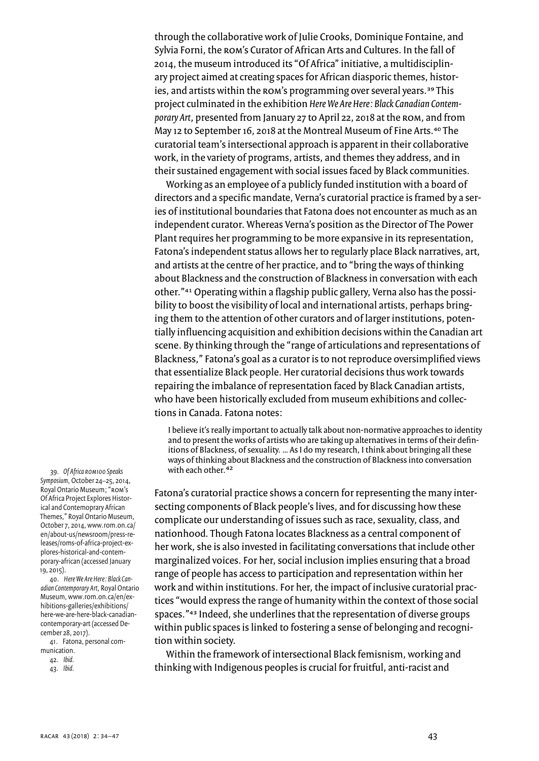through the collaborative work of Julie Crooks, Dominique Fontaine, and Sylvia Forni, the ROM's Curator of African Arts and Cultures. In the fall of 2014, the museum introduced its "Of Africa" initiative, a multidisciplinary project aimed at creating spaces for African diasporic themes, histories, and artists within the ROM's programming over several years.<sup>39</sup> This project culminated in the exhibition Here We Are Here: Black Canadian Contemporary Art, presented from January 27 to April 22, 2018 at the ROM, and from May 12 to September 16, 2018 at the Montreal Museum of Fine Arts.<sup>40</sup> The curatorial team's intersectional approach is apparent in their collaborative work, in the variety of programs, artists, and themes they address, and in their sustained engagement with social issues faced by Black communities.

Working as an employee of a publicly funded institution with a board of directors and a specific mandate, Verna's curatorial practice is framed by a series of institutional boundaries that Fatona does not encounter as much as an independent curator. Whereas Verna's position as the Director of The Power Plant requires her programming to be more expansive in its representation, Fatona's independent status allows her to regularly place Black narratives, art, and artists at the centre of her practice, and to "bring the ways of thinking about Blackness and the construction of Blackness in conversation with each other."<sup>41</sup> Operating within a flagship public gallery, Verna also has the possibility to boost the visibility of local and international artists, perhaps bringing them to the attention of other curators and of larger institutions, potentially influencing acquisition and exhibition decisions within the Canadian art scene. By thinking through the "range of articulations and representations of Blackness," Fatona's goal as a curator is to not reproduce oversimplified views that essentialize Black people. Her curatorial decisions thus work towards repairing the imbalance of representation faced by Black Canadian artists, who have been historically excluded from museum exhibitions and collections in Canada. Fatona notes:

I believe it's really important to actually talk about non-normative approaches to identity and to present the works of artists who are taking up alternatives in terms of their definitions of Blackness, of sexuality. ... As I do my research, I think about bringing all these ways of thinking about Blackness and the construction of Blackness into conversation with each other.<sup>42</sup>

Fatona's curatorial practice shows a concern for representing the many intersecting components of Black people's lives, and for discussing how these complicate our understanding of issues such as race, sexuality, class, and nationhood. Though Fatona locates Blackness as a central component of her work, she is also invested in facilitating conversations that include other marginalized voices. For her, social inclusion implies ensuring that a broad range of people has access to participation and representation within her work and within institutions. For her, the impact of inclusive curatorial practices "would express the range of humanity within the context of those social spaces."43 Indeed, she underlines that the representation of diverse groups within public spaces is linked to fostering a sense of belonging and recognition within society.

Within the framework of intersectional Black femisnism, working and thinking with Indigenous peoples is crucial for fruitful, anti-racist and

39. Of Africa ROM100 Speaks Symposium, October 24-25, 2014, Royal Ontario Museum; "ROM's Of Africa Project Explores Historical and Contemoprary African Themes," Royal Ontario Museum, October 7, 2014, www.rom.on.ca/ en/about-us/newsroom/press-releases/roms-of-africa-project-explores-historical-and-contemporary-african (accessed January  $19, 2015$ ).

40. Here We Are Here: Black Canadian Contemporary Art, Royal Ontario Museum, www.rom.on.ca/en/exhibitions-galleries/exhibitions/ here-we-are-here-black-canadiancontemporary-art (accessed December 28, 2017).

41. Fatona, personal communication.

42. Ibid. 43. Ibid.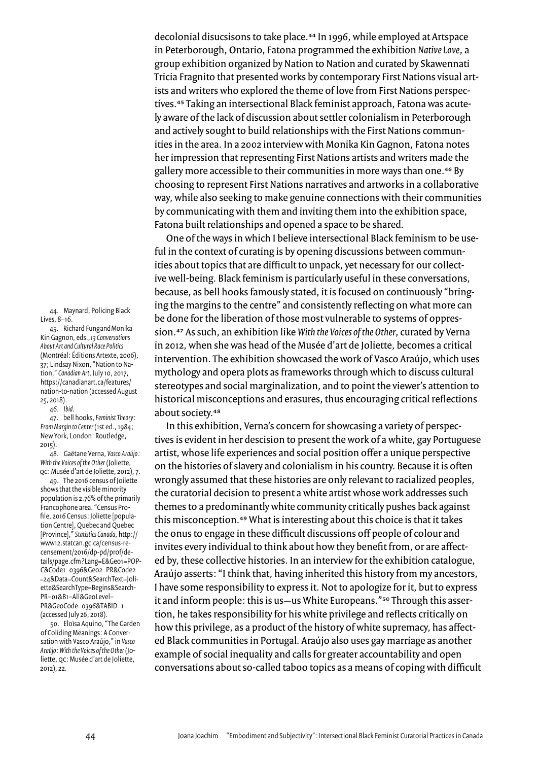decolonial disucsisons to take place.<sup>44</sup> In 1996, while employed at Artspace in Peterborough, Ontario, Fatona programmed the exhibition Native Love, a group exhibition organized by Nation to Nation and curated by Skawennati Tricia Fragnito that presented works by contemporary First Nations visual artists and writers who explored the theme of love from First Nations perspectives.<sup>45</sup> Taking an intersectional Black feminist approach, Fatona was acutely aware of the lack of discussion about settler colonialism in Peterborough and actively sought to build relationships with the First Nations communities in the area. In a 2002 interview with Monika Kin Gagnon, Fatona notes her impression that representing First Nations artists and writers made the gallery more accessible to their communities in more ways than one.<sup>46</sup> By choosing to represent First Nations narratives and artworks in a collaborative way, while also seeking to make genuine connections with their communities by communicating with them and inviting them into the exhibition space, Fatona built relationships and opened a space to be shared.

One of the ways in which I believe intersectional Black feminism to be useful in the context of curating is by opening discussions between communities about topics that are difficult to unpack, yet necessary for our collective well-being. Black feminism is particularly useful in these conversations, because, as bell hooks famously stated, it is focused on continuously "bringing the margins to the centre" and consistently reflecting on what more can be done for the liberation of those most vulnerable to systems of oppression.<sup>47</sup> As such, an exhibition like With the Voices of the Other, curated by Verna in 2012, when she was head of the Musée d'art de Joliette, becomes a critical intervention. The exhibition showcased the work of Vasco Araújo, which uses mythology and opera plots as frameworks through which to discuss cultural stereotypes and social marginalization, and to point the viewer's attention to historical misconceptions and erasures, thus encouraging critical reflections about society.<sup>48</sup>

In this exhibition, Verna's concern for showcasing a variety of perspectives is evident in her descision to present the work of a white, gay Portuguese artist, whose life experiences and social position offer a unique perspective on the histories of slavery and colonialism in his country. Because it is often wrongly assumed that these histories are only relevant to racialized peoples, the curatorial decision to present a white artist whose work addresses such themes to a predominantly white community critically pushes back against this misconception.49 What is interesting about this choice is that it takes the onus to engage in these difficult discussions off people of colour and invites every individual to think about how they benefit from, or are affected by, these collective histories. In an interview for the exhibition catalogue, Araújo asserts: "I think that, having inherited this history from my ancestors, I have some responsibility to express it. Not to apologize for it, but to express it and inform people: this is us—us White Europeans."<sup>50</sup> Through this assertion, he takes responsibility for his white privilege and reflects critically on how this privilege, as a product of the history of white supremacy, has affected Black communities in Portugal. Araújo also uses gay marriage as another example of social inequality and calls for greater accountability and open conversations about so-called taboo topics as a means of coping with difficult

44. Maynard, Policing Black Lives,  $8-16$ .

45. Richard Fungand Monika Kin Gagnon, eds., 13 Conversations About Art and Cultural Race Politics (Montréal: Éditions Artexte, 2006), 37; Lindsay Nixon, "Nation to Nation," Canadian Art, July 10, 2017, https://canadianart.ca/features/ nation-to-nation (accessed August 25, 2018).

 $46.$  Ibid.

47. bell hooks, Feminist Theory: From Margin to Center (1st ed., 1984; New York, London: Routledge,  $2015$ ).

48. Gaëtane Verna, Vasco Araújo: With the Voices of the Other (Joliette, QC: Musée d'art de Joliette, 2012), 7.

49. The 2016 census of Joilette shows that the visible minority population is 2.76% of the primarily Francophone area. "Census Profile, 2016 Census: Joliette [population Centre], Quebec and Quebec [Province]," Statistics Canada, http:// www12.statcan.gc.ca/census-recensement/2016/dp-pd/prof/details/page.cfm?Lang=E&Geo1=POP-C&Code1=0396&Ge02=PR&Code2 =24&Data=Count&SearchText=Joliette&SearchType=Begins&Search- $PR = 018B1 = All8Geolevel =$ PR&GeoCode=0396&TABID=1 (accessed July 26, 2018).

50. Eloïsa Aquino, "The Garden of Coliding Meanings: A Conversation with Vasco Araújo," in Vasco Araújo: With the Voices of the Other (Joliette, QC: Musée d'art de Joliette, 2012), 22.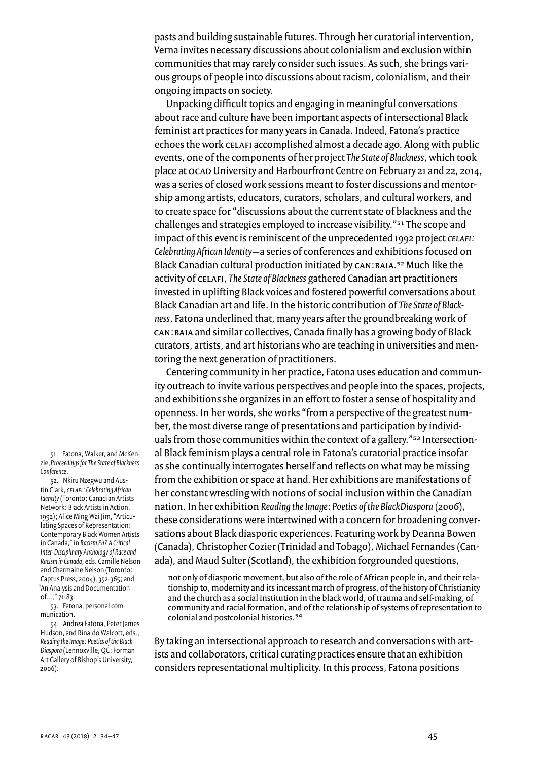pasts and building sustainable futures. Through her curatorial intervention, Verna invites necessary discussions about colonialism and exclusion within communities that may rarely consider such issues. As such, she brings various groups of people into discussions about racism, colonialism, and their ongoing impacts on society.

Unpacking difficult topics and engaging in meaningful conversations about race and culture have been important aspects of intersectional Black feminist art practices for many years in Canada. Indeed, Fatona's practice echoes the work CELAFI accomplished almost a decade ago. Along with public events, one of the components of her project The State of Blackness, which took place at OCAD University and Harbourfront Centre on February 21 and 22, 2014. was a series of closed work sessions meant to foster discussions and mentorship among artists, educators, curators, scholars, and cultural workers, and to create space for "discussions about the current state of blackness and the challenges and strategies employed to increase visibility."<sup>51</sup> The scope and impact of this event is reminiscent of the unprecedented 1992 project CELAFI: Celebrating African Identity-a series of conferences and exhibitions focused on Black Canadian cultural production initiated by CAN: BAIA.<sup>52</sup> Much like the activity of CELAFI, The State of Blackness gathered Canadian art practitioners invested in uplifting Black voices and fostered powerful conversations about Black Canadian art and life. In the historic contribution of The State of Blackness, Fatona underlined that, many years after the groundbreaking work of CAN: BAIA and similar collectives, Canada finally has a growing body of Black curators, artists, and art historians who are teaching in universities and mentoring the next generation of practitioners.

Centering community in her practice, Fatona uses education and community outreach to invite various perspectives and people into the spaces, projects, and exhibitions she organizes in an effort to foster a sense of hospitality and openness. In her words, she works "from a perspective of the greatest number, the most diverse range of presentations and participation by individuals from those communities within the context of a gallery."<sup>53</sup> Intersectional Black feminism plays a central role in Fatona's curatorial practice insofar as she continually interrogates herself and reflects on what may be missing from the exhibition or space at hand. Her exhibitions are manifestations of her constant wrestling with notions of social inclusion within the Canadian nation. In her exhibition Reading the Image: Poetics of the BlackDiaspora (2006), these considerations were intertwined with a concern for broadening conversations about Black diasporic experiences. Featuring work by Deanna Bowen (Canada), Christopher Cozier (Trinidad and Tobago), Michael Fernandes (Canada), and Maud Sulter (Scotland), the exhibition forgrounded questions,

not only of diasporic movement, but also of the role of African people in, and their relationship to, modernity and its incessant march of progress, of the history of Christianity and the church as a social institution in the black world, of trauma and self-making, of community and racial formation, and of the relationship of systems of representation to colonial and postcolonial histories.<sup>54</sup>

By taking an intersectional approach to research and conversations with artists and collaborators, critical curating practices ensure that an exhibition considers representational multiplicity. In this process, Fatona positions

51. Fatona, Walker, and McKenzie, Proceedings for The State of Blackness Conference.

52. Nkiru Nzegwu and Austin Clark, CELAFI: Celebrating African Identity (Toronto: Canadian Artists Network: Black Artists in Action. 1992); Alice Ming Wai Jim, "Articulating Spaces of Representation: Contemporary Black Women Artists in Canada," in Racism Eh? A Critical Inter-Disciplinary Anthology of Race and Racism in Canada, eds. Camille Nelson and Charmaine Nelson (Toronto: Captus Press, 2004), 352-365; and "An Analysis and Documentation of...,"  $7^{1-83}$ .

53. Fatona, personal communication

54. Andrea Fatona, Peter James Hudson, and Rinaldo Walcott, eds., Reading the Image: Poetics of the Black Diaspora (Lennoxville, QC: Forman Art Gallery of Bishop's University, 2006).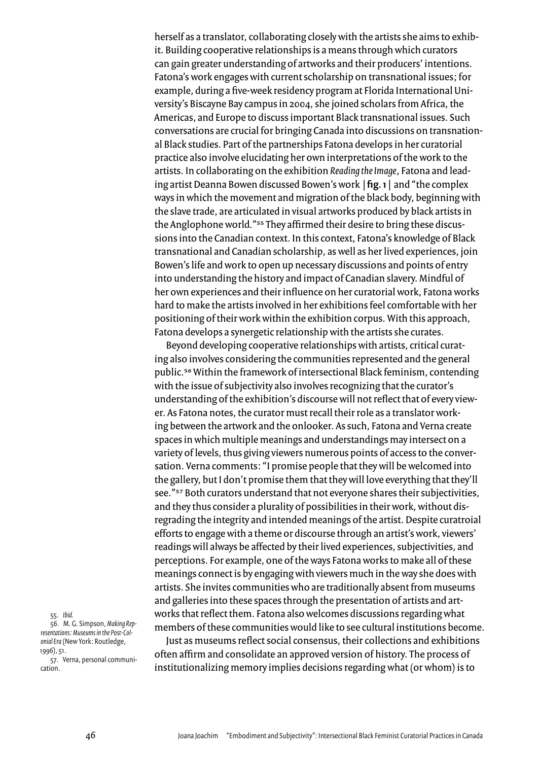herself as a translator, collaborating closely with the artists she aims to exhibit. Building cooperative relationships is a means through which curators can gain greater understanding of artworks and their producers' intentions. Fatona's work engages with current scholarship on transnational issues; for example, during a five-week residency program at Florida International University's Biscayne Bay campus in 2004, she joined scholars from Africa, the Americas, and Europe to discuss important Black transnational issues. Such conversations are crucial for bringing Canada into discussions on transnational Black studies. Part of the partnerships Fatona develops in her curatorial practice also involve elucidating her own interpretations of the work to the artists. In collaborating on the exhibition Reading the Image, Fatona and leading artist Deanna Bowen discussed Bowen's work | fig. 1 | and "the complex ways in which the movement and migration of the black body, beginning with the slave trade, are articulated in visual artworks produced by black artists in the Anglophone world."<sup>55</sup> They affirmed their desire to bring these discussions into the Canadian context. In this context, Fatona's knowledge of Black transnational and Canadian scholarship, as well as her lived experiences, join Bowen's life and work to open up necessary discussions and points of entry into understanding the history and impact of Canadian slavery. Mindful of her own experiences and their influence on her curatorial work, Fatona works hard to make the artists involved in her exhibitions feel comfortable with her positioning of their work within the exhibition corpus. With this approach, Fatona develops a synergetic relationship with the artists she curates.

Beyond developing cooperative relationships with artists, critical curating also involves considering the communities represented and the general public.<sup>56</sup> Within the framework of intersectional Black feminism, contending with the issue of subjectivity also involves recognizing that the curator's understanding of the exhibition's discourse will not reflect that of every viewer. As Fatona notes, the curator must recall their role as a translator working between the artwork and the onlooker. As such, Fatona and Verna create spaces in which multiple meanings and understandings may intersect on a variety of levels, thus giving viewers numerous points of access to the conversation. Verna comments: "I promise people that they will be welcomed into the gallery, but I don't promise them that they will love everything that they'll see."<sup>57</sup> Both curators understand that not everyone shares their subjectivities, and they thus consider a plurality of possibilities in their work, without disregrading the integrity and intended meanings of the artist. Despite curatroial efforts to engage with a theme or discourse through an artist's work, viewers' readings will always be affected by their lived experiences, subjectivities, and perceptions. For example, one of the ways Fatona works to make all of these meanings connect is by engaging with viewers much in the way she does with artists. She invites communities who are traditionally absent from museums and galleries into these spaces through the presentation of artists and artworks that reflect them. Fatona also welcomes discussions regarding what members of these communities would like to see cultural institutions become.

Just as museums reflect social consensus, their collections and exhibitions often affirm and consolidate an approved version of history. The process of institutionalizing memory implies decisions regarding what (or whom) is to

55. Ibid. 56. M. G. Simpson, Making Representations: Museums in the Post-Colonial Era (New York: Routledge, 1996), 51.

57. Verna, personal communication